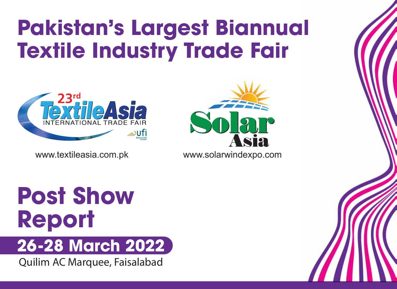# **Pakistan's Largest Biannual Textile Industry Trade Fair**





# **Post Show Report 26-28 March 2022**

Quilim AC Marquee, Faisalabad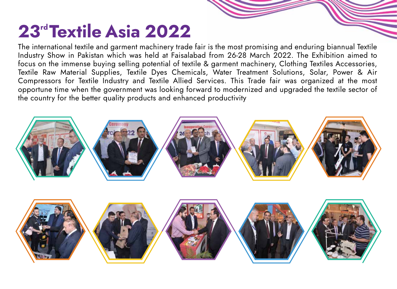### 23<sup>rd</sup> Textile Asia 2022

The international textile and garment machinery trade fair is the most promising and enduring biannual Textile Industry Show in Pakistan which was held at Faisalabad from 26-28 March 2022. The Exhibition aimed to focus on the immense buying selling potential of textile & garment machinery, Clothing Textiles Accessories, Textile Raw Material Supplies, Textile Dyes Chemicals, Water Treatment Solutions, Solar, Power & Air Compressors for Textile Industry and Textile Allied Services. This Trade fair was organized at the most opportune time when the government was looking forward to modernized and upgraded the textile sector of the country for the better quality products and enhanced productivity

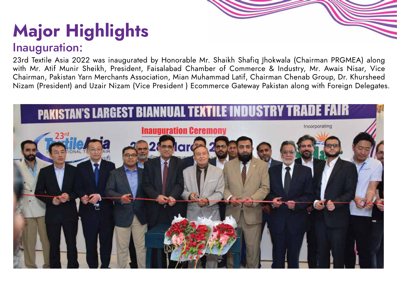# Major Highlights

#### Inauguration:

23rd Textile Asia 2022 was inaugurated by Honorable Mr. Shaikh Shafiq Jhokwala (Chairman PRGMEA) along with Mr. Atif Munir Sheikh, President, Faisalabad Chamber of Commerce & Industry, Mr. Awais Nisar, Vice Chairman, Pakistan Yarn Merchants Association, Mian Muhammad Latif, Chairman Chenab Group, Dr. Khursheed Nizam (President) and Uzair Nizam (Vice President ) Ecommerce Gateway Pakistan along with Foreign Delegates.

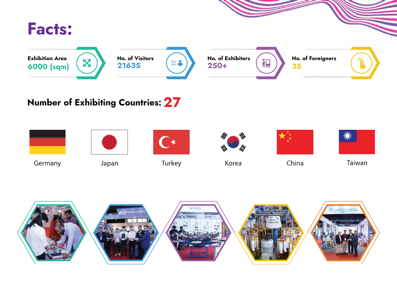

#### Number of Exhibiting Countries: 27

![](_page_3_Picture_2.jpeg)

![](_page_3_Picture_3.jpeg)

Taiwan

![](_page_3_Picture_5.jpeg)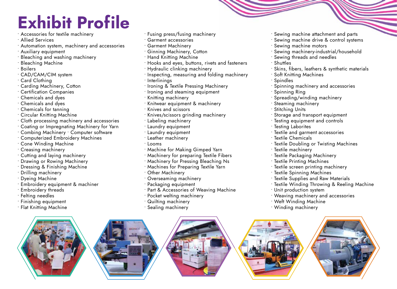### Exhibit Profile

- Accessories for textile machinery
- Allied Services
- Automation system, machinery and accessories
- Auxiliary equipment
- Bleaching and washing machinery
- Bleaching Machine
- Boilers
- CAD/CAM/CIM system
- Card Clothing
- Carding Machinery, Cotton
- Certification Companies
- Chemicals and dyes
- Chemicals and dyes
- Chemicals for tanning
- Circular Knitting Machine
- Cloth processing machinery and accessories
- Coating or Impregnating Machinery for Yarn
- Combing Machinery Computer software
- Computerized Embroidery Machines
- Cone Winding Machine
- Creasing machinery
- Cutting and laying machinery
- Drawing or Rowing Machinery
- Dressing & Finishing Machine
- Drilling machinery
- Dyeing Machine
- Embroidery equipment & machiner
- Embroidery threads
- Felting needles
- Finishing equipment
- Flat Knitting Machine
- Fusing press/fusing machinery
- Garment accessories
- Garment Machinery
- Ginning Machinery, Cotton
- Hand Knitting Machine
- Hooks and eyes, buttons, rivets and fasteners
- Hydraulic clinking machinery
- Inspecting, measuring and folding machinery
- $\cdot$  Interlinings
- Ironing & Textile Pressing Machinery
- Ironing and steaming equipment
- Knitting machinery
- Knitwear equipment & machinery
- Knives and scissors
- Knives/scissors grinding machinery
- Labeling machinery
- Laundry equipment
- Laundry equipment
- Leather machinery
- Looms
- Machine for Making Gimped Yarn
- Machinery for preparing Textile Fibers
- Machinery for Pressing Bleaching Ns
- Machines for Preparing Textile Yarn
- Other Machinery
- Overseaming machinery
- Packaging equipment
- Part & Accessories of Weaving Machine
- Pocket welting machinery
- Quilting machinery
- Sealing machinery
- Sewing machine attachment and parts
- Sewing machine drive & control systems
- Sewing machine motors
- Sewing machinery-industrial/household
- Sewing threads and needles
- Shuttles
- Skins, fibers, leathers & synthetic materials
- Soft Knitting Machines
- Spindles
- Spinning machinery and accessories
- Spinning Ring
- Spreading/winding machinery
- Steaming machinery
- Stitching Units
- Storage and transport equipment
- Testing equipment and controls
- Testing Laborites
- Textile and garment accessories
- Textile Chemicals
- Textile Doubling or Twisting Machines
- Textile machinery
- Textile Packaging Machinery
- Textile Printing Machines
- Textile screen printing machinery
- Textile Spinning Machines
- Textile Supplies and Raw Materials
- Textile Winding Throwing & Reeling Machine
- Unit production system
- Weaving machinery and accessories
- Weft Winding Machine
- Winding machinery

![](_page_4_Picture_94.jpeg)

![](_page_4_Picture_95.jpeg)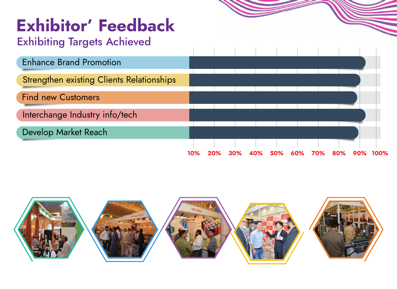### Exhibitor' Feedback

#### Exhibiting Targets Achieved

![](_page_5_Figure_2.jpeg)

![](_page_5_Picture_3.jpeg)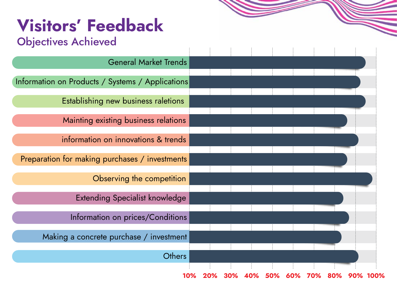### Visitors' Feedback

#### Objectives Achieved

| $    -$                                          |     |     |     |     |     |     |  |  |
|--------------------------------------------------|-----|-----|-----|-----|-----|-----|--|--|
| <b>General Market Trends</b>                     |     |     |     |     |     |     |  |  |
|                                                  |     |     |     |     |     |     |  |  |
| Information on Products / Systems / Applications |     |     |     |     |     |     |  |  |
|                                                  |     |     |     |     |     |     |  |  |
| Establishing new business raletions              |     |     |     |     |     |     |  |  |
|                                                  |     |     |     |     |     |     |  |  |
| Mainting existing business relations             |     |     |     |     |     |     |  |  |
| information on innovations & trends              |     |     |     |     |     |     |  |  |
|                                                  |     |     |     |     |     |     |  |  |
| Preparation for making purchases / investments   |     |     |     |     |     |     |  |  |
|                                                  |     |     |     |     |     |     |  |  |
| Observing the competition                        |     |     |     |     |     |     |  |  |
|                                                  |     |     |     |     |     |     |  |  |
| <b>Extending Specialist knowledge</b>            |     |     |     |     |     |     |  |  |
|                                                  |     |     |     |     |     |     |  |  |
| Information on prices/Conditions                 |     |     |     |     |     |     |  |  |
|                                                  |     |     |     |     |     |     |  |  |
| Making a concrete purchase / investment          |     |     |     |     |     |     |  |  |
| <b>Others</b>                                    |     |     |     |     |     |     |  |  |
|                                                  |     |     |     |     |     |     |  |  |
|                                                  | 10% | 30% | 40% | 50% | 60% | 70% |  |  |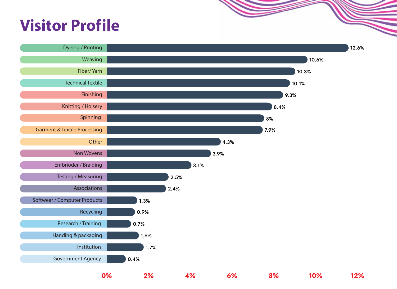### **Visitor Profile**

![](_page_7_Figure_1.jpeg)